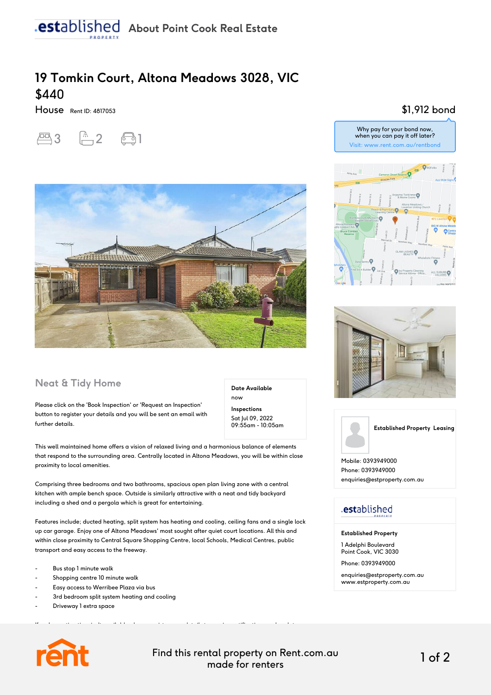## **19 Tomkin Court, Altona Meadows 3028, VIC** \$440

House Rent ID: 4817053





#### **Neat & Tidy Home**

Please click on the 'Book Inspection' or 'Request an Inspection' button to register your details and you will be sent an email with further details.

**Inspections** Sat Jul 09, 2022 09:55am - 10:05am

**Date Available**

now

This well maintained home offers a vision of relaxed living and a harmonious balance of elements that respond to the surrounding area. Centrally located in Altona Meadows, you will be within close proximity to local amenities.

Comprising three bedrooms and two bathrooms, spacious open plan living zone with a central kitchen with ample bench space. Outside is similarly attractive with a neat and tidy backyard including a shed and a pergola which is great for entertaining.

Features include; ducted heating, split system has heating and cooling, ceiling fans and a single lock up car garage. Enjoy one of Altona Meadows' most sought after quiet court locations. All this and within close proximity to Central Square Shopping Centre, local Schools, Medical Centres, public transport and easy access to the freeway.

If an Inspection time isn't available please register your details to receive notifications and updates

- Bus stop 1 minute walk
- Shopping centre 10 minute walk
- Easy access to Werribee Plaza via bus
- 3rd bedroom split system heating and cooling
- Driveway 1 extra space



Find this rental property on Rent.com.au made for renters 1 of 2

#### \$1,912 bond







Mobile: 0393949000 Phone: 0393949000 enquiries@estproperty.com.au

### .established

**Established Property**

1 Adelphi Boulevard Point Cook, VIC 3030

Phone: 0393949000

enquiries@estproperty.com.au www.estproperty.com.au